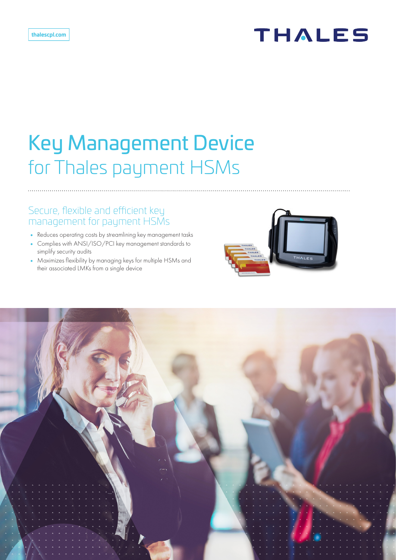# **THALES**

# Key Management Device for Thales payment HSMs

## Secure, flexible and efficient key management for payment HSMs

- **•** Reduces operating costs by streamlining key management tasks
- **•** Complies with ANSI/ISO/PCI key management standards to simplify security audits
- **•** Maximizes flexibility by managing keys for multiple HSMs and their associated LMKs from a single device